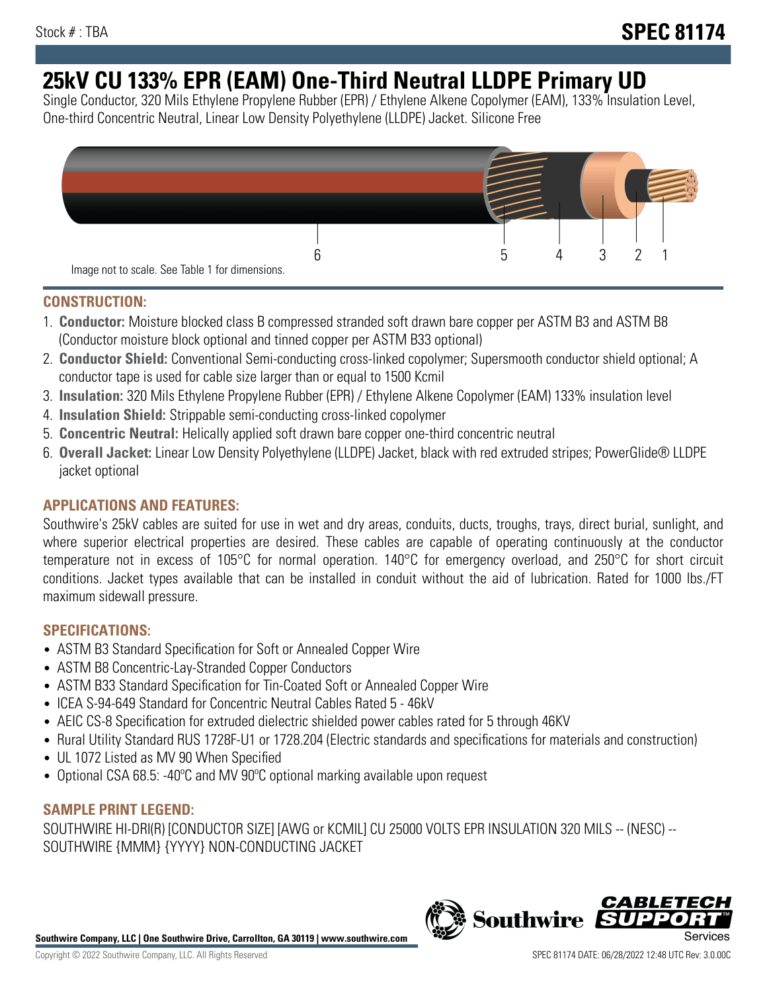# **25kV CU 133% EPR (EAM) One-Third Neutral LLDPE Primary UD**

Single Conductor, 320 Mils Ethylene Propylene Rubber (EPR) / Ethylene Alkene Copolymer (EAM), 133% Insulation Level, One-third Concentric Neutral, Linear Low Density Polyethylene (LLDPE) Jacket. Silicone Free



# **CONSTRUCTION:**

- 1. **Conductor:** Moisture blocked class B compressed stranded soft drawn bare copper per ASTM B3 and ASTM B8 (Conductor moisture block optional and tinned copper per ASTM B33 optional)
- 2. **Conductor Shield:** Conventional Semi-conducting cross-linked copolymer; Supersmooth conductor shield optional; A conductor tape is used for cable size larger than or equal to 1500 Kcmil
- 3. **Insulation:** 320 Mils Ethylene Propylene Rubber (EPR) / Ethylene Alkene Copolymer (EAM) 133% insulation level
- 4. **Insulation Shield:** Strippable semi-conducting cross-linked copolymer
- 5. **Concentric Neutral:** Helically applied soft drawn bare copper one-third concentric neutral
- 6. **Overall Jacket:** Linear Low Density Polyethylene (LLDPE) Jacket, black with red extruded stripes; PowerGlide® LLDPE jacket optional

# **APPLICATIONS AND FEATURES:**

Southwire's 25kV cables are suited for use in wet and dry areas, conduits, ducts, troughs, trays, direct burial, sunlight, and where superior electrical properties are desired. These cables are capable of operating continuously at the conductor temperature not in excess of 105°C for normal operation. 140°C for emergency overload, and 250°C for short circuit conditions. Jacket types available that can be installed in conduit without the aid of lubrication. Rated for 1000 lbs./FT maximum sidewall pressure.

## **SPECIFICATIONS:**

- ASTM B3 Standard Specification for Soft or Annealed Copper Wire
- ASTM B8 Concentric-Lay-Stranded Copper Conductors
- ASTM B33 Standard Specification for Tin-Coated Soft or Annealed Copper Wire
- ICEA S-94-649 Standard for Concentric Neutral Cables Rated 5 46kV
- AEIC CS-8 Specification for extruded dielectric shielded power cables rated for 5 through 46KV
- Rural Utility Standard RUS 1728F-U1 or 1728.204 (Electric standards and specifications for materials and construction)
- UL 1072 Listed as MV 90 When Specified
- Optional CSA 68.5: -40°C and MV 90°C optional marking available upon request

# **SAMPLE PRINT LEGEND:**

SOUTHWIRE HI-DRI(R) [CONDUCTOR SIZE] [AWG or KCMIL] CU 25000 VOLTS EPR INSULATION 320 MILS -- (NESC) -- SOUTHWIRE {MMM} {YYYY} NON-CONDUCTING JACKET

**Southwire Company, LLC | One Southwire Drive, Carrollton, GA 30119 | www.southwire.com**